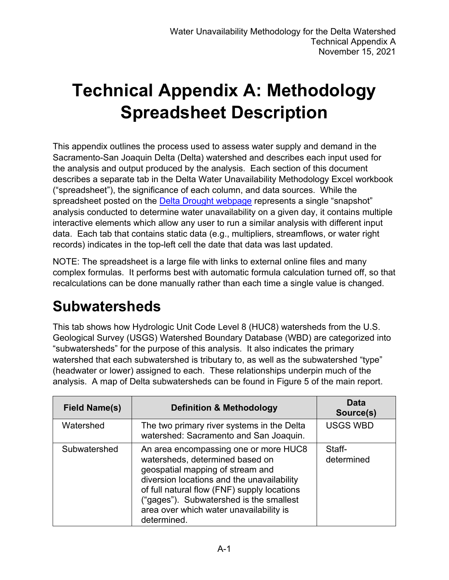# **Technical Appendix A: Methodology Spreadsheet Description**

This appendix outlines the process used to assess water supply and demand in the Sacramento-San Joaquin Delta (Delta) watershed and describes each input used for the analysis and output produced by the analysis. Each section of this document describes a separate tab in the Delta Water Unavailability Methodology Excel workbook ("spreadsheet"), the significance of each column, and data sources. While the spreadsheet posted on the [Delta Drought webpage](https://www.waterboards.ca.gov/drought/delta/) represents a single "snapshot" analysis conducted to determine water unavailability on a given day, it contains multiple interactive elements which allow any user to run a similar analysis with different input data. Each tab that contains static data (e.g., multipliers, streamflows, or water right records) indicates in the top-left cell the date that data was last updated.

NOTE: The spreadsheet is a large file with links to external online files and many complex formulas. It performs best with automatic formula calculation turned off, so that recalculations can be done manually rather than each time a single value is changed.

#### **Subwatersheds**

This tab shows how Hydrologic Unit Code Level 8 (HUC8) watersheds from the U.S. Geological Survey (USGS) Watershed Boundary Database (WBD) are categorized into "subwatersheds" for the purpose of this analysis. It also indicates the primary watershed that each subwatershed is tributary to, as well as the subwatershed "type" (headwater or lower) assigned to each. These relationships underpin much of the analysis. A map of Delta subwatersheds can be found in Figure 5 of the main report.

| <b>Field Name(s)</b> | <b>Definition &amp; Methodology</b>                                                                                                                                                                                                                                                                            | <b>Data</b><br>Source(s) |
|----------------------|----------------------------------------------------------------------------------------------------------------------------------------------------------------------------------------------------------------------------------------------------------------------------------------------------------------|--------------------------|
| Watershed            | The two primary river systems in the Delta<br>watershed: Sacramento and San Joaquin.                                                                                                                                                                                                                           | <b>USGS WBD</b>          |
| Subwatershed         | An area encompassing one or more HUC8<br>watersheds, determined based on<br>geospatial mapping of stream and<br>diversion locations and the unavailability<br>of full natural flow (FNF) supply locations<br>("gages"). Subwatershed is the smallest<br>area over which water unavailability is<br>determined. | Staff-<br>determined     |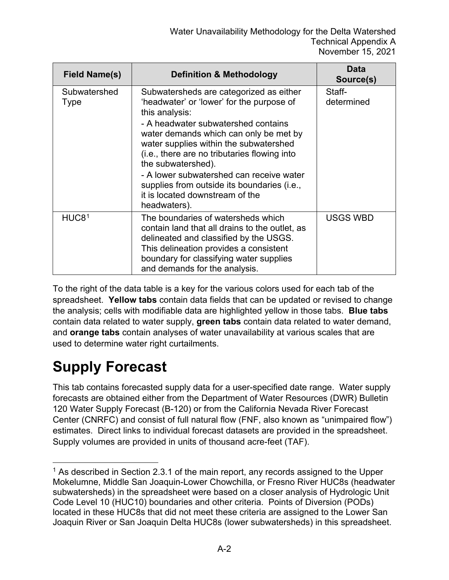| <b>Field Name(s)</b> | <b>Definition &amp; Methodology</b>                                                                                                                                                                                                                                                                                                                                                                                                                   | <b>Data</b><br>Source(s) |
|----------------------|-------------------------------------------------------------------------------------------------------------------------------------------------------------------------------------------------------------------------------------------------------------------------------------------------------------------------------------------------------------------------------------------------------------------------------------------------------|--------------------------|
| Subwatershed<br>Type | Subwatersheds are categorized as either<br>'headwater' or 'lower' for the purpose of<br>this analysis:<br>- A headwater subwatershed contains<br>water demands which can only be met by<br>water supplies within the subwatershed<br>(i.e., there are no tributaries flowing into<br>the subwatershed).<br>- A lower subwatershed can receive water<br>supplies from outside its boundaries (i.e.,<br>it is located downstream of the<br>headwaters). | Staff-<br>determined     |
| HUC8 <sup>1</sup>    | The boundaries of watersheds which<br>contain land that all drains to the outlet, as<br>delineated and classified by the USGS.<br>This delineation provides a consistent<br>boundary for classifying water supplies<br>and demands for the analysis.                                                                                                                                                                                                  | <b>USGS WBD</b>          |

To the right of the data table is a key for the various colors used for each tab of the spreadsheet. **Yellow tabs** contain data fields that can be updated or revised to change the analysis; cells with modifiable data are highlighted yellow in those tabs. **Blue tabs** contain data related to water supply, **green tabs** contain data related to water demand, and **orange tabs** contain analyses of water unavailability at various scales that are used to determine water right curtailments.

## **Supply Forecast**

This tab contains forecasted supply data for a user-specified date range. Water supply forecasts are obtained either from the Department of Water Resources (DWR) Bulletin 120 Water Supply Forecast (B-120) or from the California Nevada River Forecast Center (CNRFC) and consist of full natural flow (FNF, also known as "unimpaired flow") estimates. Direct links to individual forecast datasets are provided in the spreadsheet. Supply volumes are provided in units of thousand acre-feet (TAF).

<span id="page-1-0"></span> $1$  As described in Section 2.3.1 of the main report, any records assigned to the Upper Mokelumne, Middle San Joaquin-Lower Chowchilla, or Fresno River HUC8s (headwater subwatersheds) in the spreadsheet were based on a closer analysis of Hydrologic Unit Code Level 10 (HUC10) boundaries and other criteria. Points of Diversion (PODs) located in these HUC8s that did not meet these criteria are assigned to the Lower San Joaquin River or San Joaquin Delta HUC8s (lower subwatersheds) in this spreadsheet.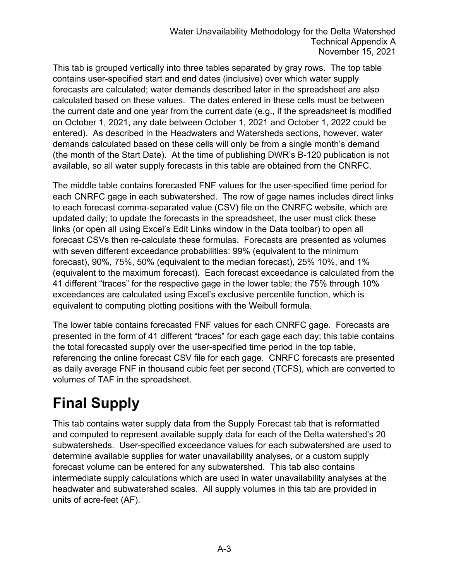This tab is grouped vertically into three tables separated by gray rows. The top table contains user-specified start and end dates (inclusive) over which water supply forecasts are calculated; water demands described later in the spreadsheet are also calculated based on these values. The dates entered in these cells must be between the current date and one year from the current date (e.g., if the spreadsheet is modified on October 1, 2021, any date between October 1, 2021 and October 1, 2022 could be entered). As described in the Headwaters and Watersheds sections, however, water demands calculated based on these cells will only be from a single month's demand (the month of the Start Date). At the time of publishing DWR's B-120 publication is not available, so all water supply forecasts in this table are obtained from the CNRFC.

The middle table contains forecasted FNF values for the user-specified time period for each CNRFC gage in each subwatershed. The row of gage names includes direct links to each forecast comma-separated value (CSV) file on the CNRFC website, which are updated daily; to update the forecasts in the spreadsheet, the user must click these links (or open all using Excel's Edit Links window in the Data toolbar) to open all forecast CSVs then re-calculate these formulas. Forecasts are presented as volumes with seven different exceedance probabilities: 99% (equivalent to the minimum forecast), 90%, 75%, 50% (equivalent to the median forecast), 25% 10%, and 1% (equivalent to the maximum forecast). Each forecast exceedance is calculated from the 41 different "traces" for the respective gage in the lower table; the 75% through 10% exceedances are calculated using Excel's exclusive percentile function, which is equivalent to computing plotting positions with the Weibull formula.

The lower table contains forecasted FNF values for each CNRFC gage. Forecasts are presented in the form of 41 different "traces" for each gage each day; this table contains the total forecasted supply over the user-specified time period in the top table, referencing the online forecast CSV file for each gage. CNRFC forecasts are presented as daily average FNF in thousand cubic feet per second (TCFS), which are converted to volumes of TAF in the spreadsheet.

## **Final Supply**

This tab contains water supply data from the Supply Forecast tab that is reformatted and computed to represent available supply data for each of the Delta watershed's 20 subwatersheds. User-specified exceedance values for each subwatershed are used to determine available supplies for water unavailability analyses, or a custom supply forecast volume can be entered for any subwatershed. This tab also contains intermediate supply calculations which are used in water unavailability analyses at the headwater and subwatershed scales. All supply volumes in this tab are provided in units of acre-feet (AF).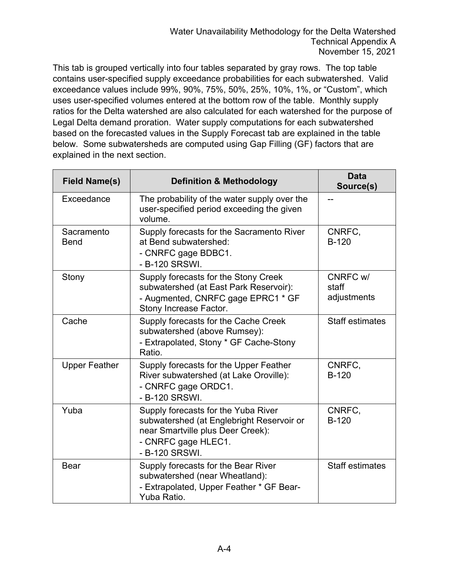This tab is grouped vertically into four tables separated by gray rows. The top table contains user-specified supply exceedance probabilities for each subwatershed. Valid exceedance values include 99%, 90%, 75%, 50%, 25%, 10%, 1%, or "Custom", which uses user-specified volumes entered at the bottom row of the table. Monthly supply ratios for the Delta watershed are also calculated for each watershed for the purpose of Legal Delta demand proration. Water supply computations for each subwatershed based on the forecasted values in the Supply Forecast tab are explained in the table below. Some subwatersheds are computed using Gap Filling (GF) factors that are explained in the next section.

| <b>Field Name(s)</b>      | <b>Definition &amp; Methodology</b>                                                                                                                            | <b>Data</b><br>Source(s)         |
|---------------------------|----------------------------------------------------------------------------------------------------------------------------------------------------------------|----------------------------------|
| Exceedance                | The probability of the water supply over the<br>user-specified period exceeding the given<br>volume.                                                           |                                  |
| Sacramento<br><b>Bend</b> | Supply forecasts for the Sacramento River<br>at Bend subwatershed:<br>- CNRFC gage BDBC1.<br>- B-120 SRSWI.                                                    | CNRFC,<br>$B-120$                |
| Stony                     | Supply forecasts for the Stony Creek<br>subwatershed (at East Park Reservoir):<br>- Augmented, CNRFC gage EPRC1 * GF<br>Stony Increase Factor.                 | CNRFC w/<br>staff<br>adjustments |
| Cache                     | Supply forecasts for the Cache Creek<br>subwatershed (above Rumsey):<br>- Extrapolated, Stony * GF Cache-Stony<br>Ratio.                                       | <b>Staff estimates</b>           |
| <b>Upper Feather</b>      | Supply forecasts for the Upper Feather<br>River subwatershed (at Lake Oroville):<br>- CNRFC gage ORDC1.<br>- B-120 SRSWI.                                      | CNRFC,<br>$B-120$                |
| Yuba                      | Supply forecasts for the Yuba River<br>subwatershed (at Englebright Reservoir or<br>near Smartville plus Deer Creek):<br>- CNRFC gage HLEC1.<br>- B-120 SRSWI. | CNRFC,<br><b>B-120</b>           |
| <b>Bear</b>               | Supply forecasts for the Bear River<br>subwatershed (near Wheatland):<br>- Extrapolated, Upper Feather * GF Bear-<br>Yuba Ratio.                               | <b>Staff estimates</b>           |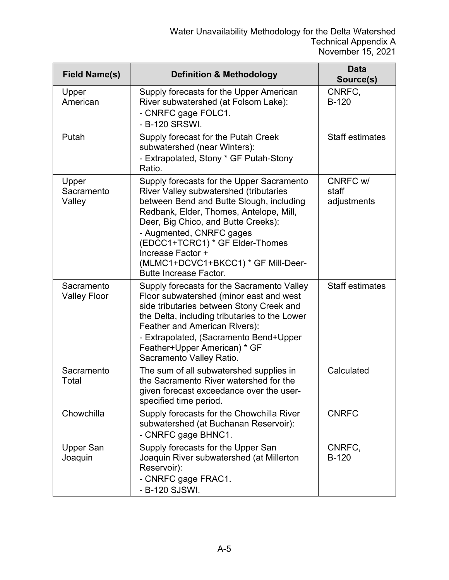| <b>Field Name(s)</b>              | <b>Definition &amp; Methodology</b>                                                                                                                                                                                                                                                                                                                                           | <b>Data</b><br>Source(s)         |
|-----------------------------------|-------------------------------------------------------------------------------------------------------------------------------------------------------------------------------------------------------------------------------------------------------------------------------------------------------------------------------------------------------------------------------|----------------------------------|
| Upper<br>American                 | Supply forecasts for the Upper American<br>River subwatershed (at Folsom Lake):<br>- CNRFC gage FOLC1.<br>- B-120 SRSWI.                                                                                                                                                                                                                                                      | CNRFC,<br><b>B-120</b>           |
| Putah                             | Supply forecast for the Putah Creek<br>subwatershed (near Winters):<br>- Extrapolated, Stony * GF Putah-Stony<br>Ratio.                                                                                                                                                                                                                                                       | <b>Staff estimates</b>           |
| Upper<br>Sacramento<br>Valley     | Supply forecasts for the Upper Sacramento<br>River Valley subwatershed (tributaries<br>between Bend and Butte Slough, including<br>Redbank, Elder, Thomes, Antelope, Mill,<br>Deer, Big Chico, and Butte Creeks):<br>- Augmented, CNRFC gages<br>(EDCC1+TCRC1) * GF Elder-Thomes<br>Increase Factor +<br>(MLMC1+DCVC1+BKCC1) * GF Mill-Deer-<br><b>Butte Increase Factor.</b> | CNRFC w/<br>staff<br>adjustments |
| Sacramento<br><b>Valley Floor</b> | Supply forecasts for the Sacramento Valley<br>Floor subwatershed (minor east and west<br>side tributaries between Stony Creek and<br>the Delta, including tributaries to the Lower<br>Feather and American Rivers):<br>- Extrapolated, (Sacramento Bend+Upper<br>Feather+Upper American) * GF<br>Sacramento Valley Ratio.                                                     | <b>Staff estimates</b>           |
| Sacramento<br>Total               | The sum of all subwatershed supplies in<br>the Sacramento River watershed for the<br>given forecast exceedance over the user-<br>specified time period.                                                                                                                                                                                                                       | Calculated                       |
| Chowchilla                        | Supply forecasts for the Chowchilla River<br>subwatershed (at Buchanan Reservoir):<br>- CNRFC gage BHNC1.                                                                                                                                                                                                                                                                     | <b>CNRFC</b>                     |
| <b>Upper San</b><br>Joaquin       | Supply forecasts for the Upper San<br>Joaquin River subwatershed (at Millerton<br>Reservoir):<br>- CNRFC gage FRAC1.<br>- B-120 SJSWI.                                                                                                                                                                                                                                        | CNRFC,<br>$B-120$                |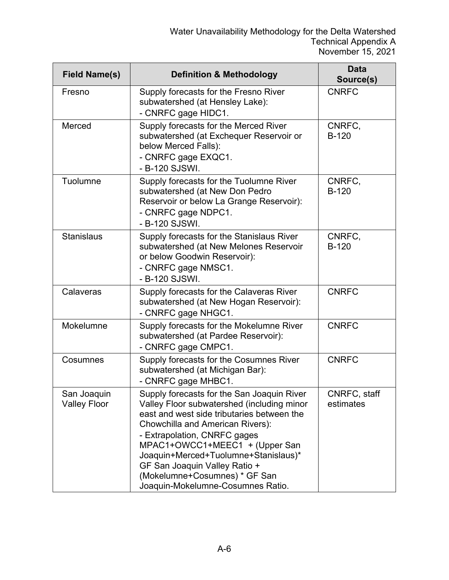| <b>Field Name(s)</b>               | <b>Definition &amp; Methodology</b>                                                                                                                                                                                                                                                                                                                                                                | <b>Data</b><br>Source(s)  |
|------------------------------------|----------------------------------------------------------------------------------------------------------------------------------------------------------------------------------------------------------------------------------------------------------------------------------------------------------------------------------------------------------------------------------------------------|---------------------------|
| Fresno                             | Supply forecasts for the Fresno River<br>subwatershed (at Hensley Lake):<br>- CNRFC gage HIDC1.                                                                                                                                                                                                                                                                                                    | <b>CNRFC</b>              |
| Merced                             | Supply forecasts for the Merced River<br>subwatershed (at Exchequer Reservoir or<br>below Merced Falls):<br>- CNRFC gage EXQC1.<br>- B-120 SJSWI.                                                                                                                                                                                                                                                  | CNRFC,<br>$B-120$         |
| Tuolumne                           | Supply forecasts for the Tuolumne River<br>subwatershed (at New Don Pedro<br>Reservoir or below La Grange Reservoir):<br>- CNRFC gage NDPC1.<br>- B-120 SJSWI.                                                                                                                                                                                                                                     | CNRFC,<br>$B-120$         |
| <b>Stanislaus</b>                  | Supply forecasts for the Stanislaus River<br>subwatershed (at New Melones Reservoir<br>or below Goodwin Reservoir):<br>- CNRFC gage NMSC1.<br>- B-120 SJSWI.                                                                                                                                                                                                                                       | CNRFC,<br><b>B-120</b>    |
| Calaveras                          | Supply forecasts for the Calaveras River<br>subwatershed (at New Hogan Reservoir):<br>- CNRFC gage NHGC1.                                                                                                                                                                                                                                                                                          | <b>CNRFC</b>              |
| Mokelumne                          | Supply forecasts for the Mokelumne River<br>subwatershed (at Pardee Reservoir):<br>- CNRFC gage CMPC1.                                                                                                                                                                                                                                                                                             | <b>CNRFC</b>              |
| Cosumnes                           | Supply forecasts for the Cosumnes River<br>subwatershed (at Michigan Bar):<br>- CNRFC gage MHBC1.                                                                                                                                                                                                                                                                                                  | <b>CNRFC</b>              |
| San Joaquin<br><b>Valley Floor</b> | Supply forecasts for the San Joaquin River<br>Valley Floor subwatershed (including minor<br>east and west side tributaries between the<br><b>Chowchilla and American Rivers):</b><br>- Extrapolation, CNRFC gages<br>MPAC1+OWCC1+MEEC1 + (Upper San<br>Joaquin+Merced+Tuolumne+Stanislaus)*<br>GF San Joaquin Valley Ratio +<br>(Mokelumne+Cosumnes) * GF San<br>Joaquin-Mokelumne-Cosumnes Ratio. | CNRFC, staff<br>estimates |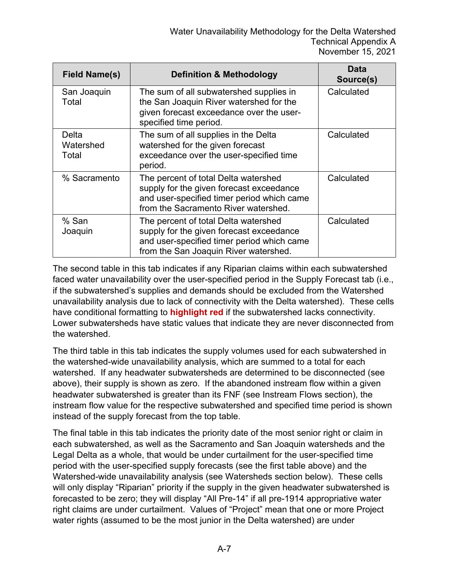| <b>Field Name(s)</b>        | <b>Definition &amp; Methodology</b>                                                                                                                                     | Data<br>Source(s) |
|-----------------------------|-------------------------------------------------------------------------------------------------------------------------------------------------------------------------|-------------------|
| San Joaquin<br>Total        | The sum of all subwatershed supplies in<br>the San Joaquin River watershed for the<br>given forecast exceedance over the user-<br>specified time period.                | Calculated        |
| Delta<br>Watershed<br>Total | The sum of all supplies in the Delta<br>watershed for the given forecast<br>exceedance over the user-specified time<br>period.                                          | Calculated        |
| % Sacramento                | The percent of total Delta watershed<br>supply for the given forecast exceedance<br>and user-specified timer period which came<br>from the Sacramento River watershed.  | Calculated        |
| % San<br>Joaquin            | The percent of total Delta watershed<br>supply for the given forecast exceedance<br>and user-specified timer period which came<br>from the San Joaquin River watershed. | Calculated        |

The second table in this tab indicates if any Riparian claims within each subwatershed faced water unavailability over the user-specified period in the Supply Forecast tab (i.e., if the subwatershed's supplies and demands should be excluded from the Watershed unavailability analysis due to lack of connectivity with the Delta watershed). These cells have conditional formatting to **highlight red** if the subwatershed lacks connectivity. Lower subwatersheds have static values that indicate they are never disconnected from the watershed.

The third table in this tab indicates the supply volumes used for each subwatershed in the watershed-wide unavailability analysis, which are summed to a total for each watershed. If any headwater subwatersheds are determined to be disconnected (see above), their supply is shown as zero. If the abandoned instream flow within a given headwater subwatershed is greater than its FNF (see Instream Flows section), the instream flow value for the respective subwatershed and specified time period is shown instead of the supply forecast from the top table.

The final table in this tab indicates the priority date of the most senior right or claim in each subwatershed, as well as the Sacramento and San Joaquin watersheds and the Legal Delta as a whole, that would be under curtailment for the user-specified time period with the user-specified supply forecasts (see the first table above) and the Watershed-wide unavailability analysis (see Watersheds section below). These cells will only display "Riparian" priority if the supply in the given headwater subwatershed is forecasted to be zero; they will display "All Pre-14" if all pre-1914 appropriative water right claims are under curtailment. Values of "Project" mean that one or more Project water rights (assumed to be the most junior in the Delta watershed) are under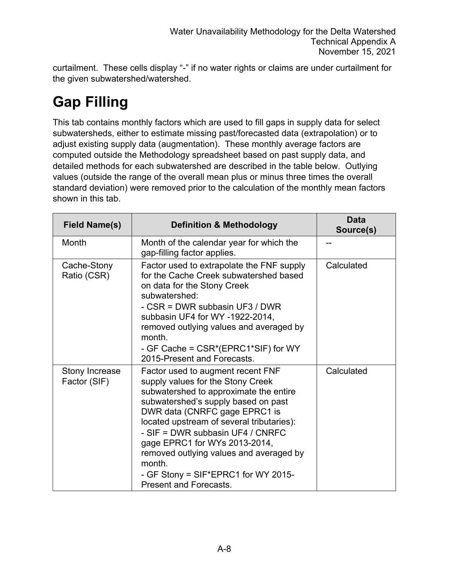curtailment. These cells display "-" if no water rights or claims are under curtailment for the given subwatershed/watershed.

## **Gap Filling**

This tab contains monthly factors which are used to fill gaps in supply data for select subwatersheds, either to estimate missing past/forecasted data (extrapolation) or to adjust existing supply data (augmentation). These monthly average factors are computed outside the Methodology spreadsheet based on past supply data, and detailed methods for each subwatershed are described in the table below. Outlying values (outside the range of the overall mean plus or minus three times the overall standard deviation) were removed prior to the calculation of the monthly mean factors shown in this tab.

| <b>Field Name(s)</b>           | <b>Definition &amp; Methodology</b>                                                                                                                                                                                                                                                                                                                                                                                                     | <b>Data</b><br>Source(s) |
|--------------------------------|-----------------------------------------------------------------------------------------------------------------------------------------------------------------------------------------------------------------------------------------------------------------------------------------------------------------------------------------------------------------------------------------------------------------------------------------|--------------------------|
| Month                          | Month of the calendar year for which the<br>gap-filling factor applies.                                                                                                                                                                                                                                                                                                                                                                 |                          |
| Cache-Stony<br>Ratio (CSR)     | Factor used to extrapolate the FNF supply<br>for the Cache Creek subwatershed based<br>on data for the Stony Creek<br>subwatershed:<br>- CSR = DWR subbasin UF3 / DWR<br>subbasin UF4 for WY -1922-2014,<br>removed outlying values and averaged by<br>month.<br>- GF Cache = CSR*(EPRC1*SIF) for WY<br>2015-Present and Forecasts.                                                                                                     | Calculated               |
| Stony Increase<br>Factor (SIF) | Factor used to augment recent FNF<br>supply values for the Stony Creek<br>subwatershed to approximate the entire<br>subwatershed's supply based on past<br>DWR data (CNRFC gage EPRC1 is<br>located upstream of several tributaries):<br>- SIF = DWR subbasin UF4 / CNRFC<br>gage EPRC1 for WYs 2013-2014,<br>removed outlying values and averaged by<br>month.<br>- GF Stony = SIF*EPRC1 for WY 2015-<br><b>Present and Forecasts.</b> | Calculated               |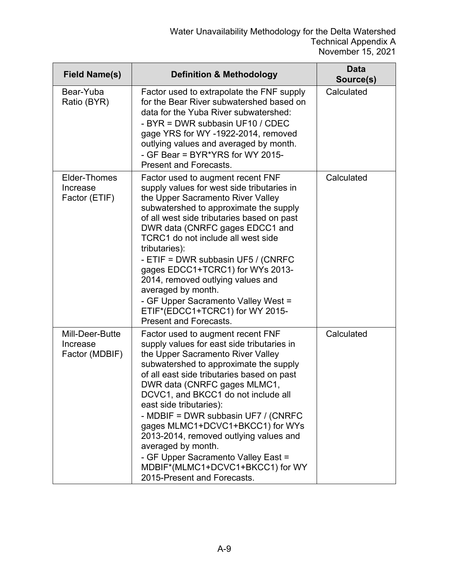| <b>Field Name(s)</b>                          | <b>Definition &amp; Methodology</b>                                                                                                                                                                                                                                                                                                                                                                                                                                                                                                                                 | Data<br>Source(s) |
|-----------------------------------------------|---------------------------------------------------------------------------------------------------------------------------------------------------------------------------------------------------------------------------------------------------------------------------------------------------------------------------------------------------------------------------------------------------------------------------------------------------------------------------------------------------------------------------------------------------------------------|-------------------|
| Bear-Yuba<br>Ratio (BYR)                      | Factor used to extrapolate the FNF supply<br>for the Bear River subwatershed based on<br>data for the Yuba River subwatershed:<br>- BYR = DWR subbasin UF10 / CDEC<br>gage YRS for WY -1922-2014, removed<br>outlying values and averaged by month.<br>- GF Bear = BYR*YRS for WY 2015-<br><b>Present and Forecasts.</b>                                                                                                                                                                                                                                            | Calculated        |
| Elder-Thomes<br>Increase<br>Factor (ETIF)     | Factor used to augment recent FNF<br>supply values for west side tributaries in<br>the Upper Sacramento River Valley<br>subwatershed to approximate the supply<br>of all west side tributaries based on past<br>DWR data (CNRFC gages EDCC1 and<br>TCRC1 do not include all west side<br>tributaries):<br>- ETIF = DWR subbasin UF5 / (CNRFC<br>gages EDCC1+TCRC1) for WYs 2013-<br>2014, removed outlying values and<br>averaged by month.<br>- GF Upper Sacramento Valley West =<br>ETIF*(EDCC1+TCRC1) for WY 2015-<br><b>Present and Forecasts.</b>              | Calculated        |
| Mill-Deer-Butte<br>Increase<br>Factor (MDBIF) | Factor used to augment recent FNF<br>supply values for east side tributaries in<br>the Upper Sacramento River Valley<br>subwatershed to approximate the supply<br>of all east side tributaries based on past<br>DWR data (CNRFC gages MLMC1,<br>DCVC1, and BKCC1 do not include all<br>east side tributaries):<br>- MDBIF = DWR subbasin UF7 / (CNRFC<br>gages MLMC1+DCVC1+BKCC1) for WYs<br>2013-2014, removed outlying values and<br>averaged by month.<br>- GF Upper Sacramento Valley East =<br>MDBIF*(MLMC1+DCVC1+BKCC1) for WY<br>2015-Present and Forecasts. | Calculated        |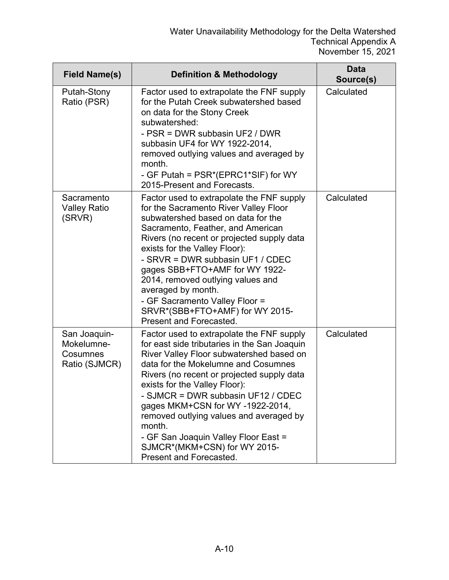| <b>Field Name(s)</b>                                    | <b>Definition &amp; Methodology</b>                                                                                                                                                                                                                                                                                                                                                                                                                                                          | Data<br>Source(s) |
|---------------------------------------------------------|----------------------------------------------------------------------------------------------------------------------------------------------------------------------------------------------------------------------------------------------------------------------------------------------------------------------------------------------------------------------------------------------------------------------------------------------------------------------------------------------|-------------------|
| Putah-Stony<br>Ratio (PSR)                              | Factor used to extrapolate the FNF supply<br>for the Putah Creek subwatershed based<br>on data for the Stony Creek<br>subwatershed:<br>- PSR = DWR subbasin UF2 / DWR<br>subbasin UF4 for WY 1922-2014,<br>removed outlying values and averaged by<br>month.<br>- GF Putah = PSR*(EPRC1*SIF) for WY<br>2015-Present and Forecasts.                                                                                                                                                           | Calculated        |
| Sacramento<br><b>Valley Ratio</b><br>(SRVR)             | Factor used to extrapolate the FNF supply<br>for the Sacramento River Valley Floor<br>subwatershed based on data for the<br>Sacramento, Feather, and American<br>Rivers (no recent or projected supply data<br>exists for the Valley Floor):<br>- SRVR = DWR subbasin UF1 / CDEC<br>gages SBB+FTO+AMF for WY 1922-<br>2014, removed outlying values and<br>averaged by month.<br>- GF Sacramento Valley Floor =<br>SRVR*(SBB+FTO+AMF) for WY 2015-<br>Present and Forecasted.                | Calculated        |
| San Joaquin-<br>Mokelumne-<br>Cosumnes<br>Ratio (SJMCR) | Factor used to extrapolate the FNF supply<br>for east side tributaries in the San Joaquin<br>River Valley Floor subwatershed based on<br>data for the Mokelumne and Cosumnes<br>Rivers (no recent or projected supply data<br>exists for the Valley Floor):<br>- SJMCR = DWR subbasin UF12 / CDEC<br>gages MKM+CSN for WY-1922-2014,<br>removed outlying values and averaged by<br>month.<br>- GF San Joaquin Valley Floor East =<br>SJMCR*(MKM+CSN) for WY 2015-<br>Present and Forecasted. | Calculated        |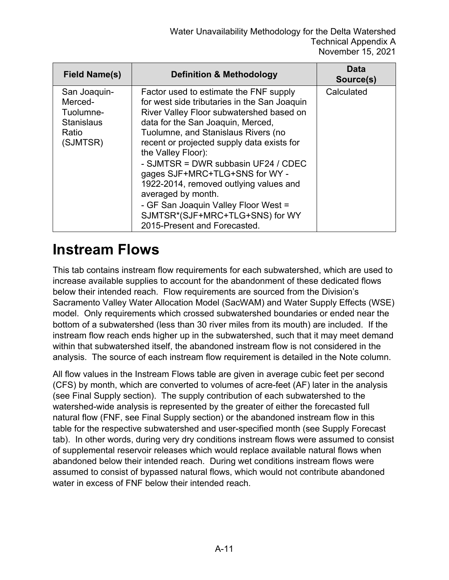| Field Name(s)                                                                  | <b>Definition &amp; Methodology</b>                                                                                                                                                                                                                                                                                                                                                                                                                                                                                                    | Data<br>Source(s) |
|--------------------------------------------------------------------------------|----------------------------------------------------------------------------------------------------------------------------------------------------------------------------------------------------------------------------------------------------------------------------------------------------------------------------------------------------------------------------------------------------------------------------------------------------------------------------------------------------------------------------------------|-------------------|
| San Joaquin-<br>Merced-<br>Tuolumne-<br><b>Stanislaus</b><br>Ratio<br>(SJMTSR) | Factor used to estimate the FNF supply<br>for west side tributaries in the San Joaquin<br>River Valley Floor subwatershed based on<br>data for the San Joaquin, Merced,<br>Tuolumne, and Stanislaus Rivers (no<br>recent or projected supply data exists for<br>the Valley Floor):<br>- SJMTSR = DWR subbasin UF24 / CDEC<br>gages SJF+MRC+TLG+SNS for WY -<br>1922-2014, removed outlying values and<br>averaged by month.<br>- GF San Joaquin Valley Floor West =<br>SJMTSR*(SJF+MRC+TLG+SNS) for WY<br>2015-Present and Forecasted. | Calculated        |

#### **Instream Flows**

This tab contains instream flow requirements for each subwatershed, which are used to increase available supplies to account for the abandonment of these dedicated flows below their intended reach. Flow requirements are sourced from the Division's Sacramento Valley Water Allocation Model (SacWAM) and Water Supply Effects (WSE) model. Only requirements which crossed subwatershed boundaries or ended near the bottom of a subwatershed (less than 30 river miles from its mouth) are included. If the instream flow reach ends higher up in the subwatershed, such that it may meet demand within that subwatershed itself, the abandoned instream flow is not considered in the analysis. The source of each instream flow requirement is detailed in the Note column.

All flow values in the Instream Flows table are given in average cubic feet per second (CFS) by month, which are converted to volumes of acre-feet (AF) later in the analysis (see Final Supply section). The supply contribution of each subwatershed to the watershed-wide analysis is represented by the greater of either the forecasted full natural flow (FNF, see Final Supply section) or the abandoned instream flow in this table for the respective subwatershed and user-specified month (see Supply Forecast tab). In other words, during very dry conditions instream flows were assumed to consist of supplemental reservoir releases which would replace available natural flows when abandoned below their intended reach. During wet conditions instream flows were assumed to consist of bypassed natural flows, which would not contribute abandoned water in excess of FNF below their intended reach.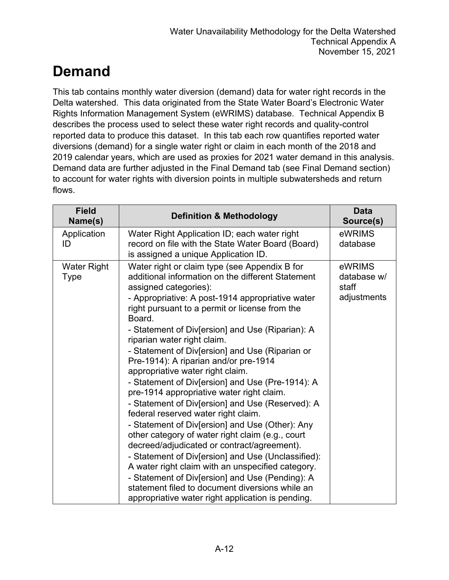## **Demand**

This tab contains monthly water diversion (demand) data for water right records in the Delta watershed. This data originated from the State Water Board's Electronic Water Rights Information Management System (eWRIMS) database. Technical Appendix B describes the process used to select these water right records and quality-control reported data to produce this dataset. In this tab each row quantifies reported water diversions (demand) for a single water right or claim in each month of the 2018 and 2019 calendar years, which are used as proxies for 2021 water demand in this analysis. Demand data are further adjusted in the Final Demand tab (see Final Demand section) to account for water rights with diversion points in multiple subwatersheds and return flows.

| <b>Field</b><br>Name(s)    | <b>Definition &amp; Methodology</b>                                                                                                                                                                                                                                                                                                                                                                                                                                                                                                                                                                                                                                                                                                                                                                                                                                                                                                                                                                                                                                                    | <b>Data</b><br>Source(s)                      |
|----------------------------|----------------------------------------------------------------------------------------------------------------------------------------------------------------------------------------------------------------------------------------------------------------------------------------------------------------------------------------------------------------------------------------------------------------------------------------------------------------------------------------------------------------------------------------------------------------------------------------------------------------------------------------------------------------------------------------------------------------------------------------------------------------------------------------------------------------------------------------------------------------------------------------------------------------------------------------------------------------------------------------------------------------------------------------------------------------------------------------|-----------------------------------------------|
| Application<br>ID          | Water Right Application ID; each water right<br>record on file with the State Water Board (Board)<br>is assigned a unique Application ID.                                                                                                                                                                                                                                                                                                                                                                                                                                                                                                                                                                                                                                                                                                                                                                                                                                                                                                                                              | eWRIMS<br>database                            |
| <b>Water Right</b><br>Type | Water right or claim type (see Appendix B for<br>additional information on the different Statement<br>assigned categories):<br>- Appropriative: A post-1914 appropriative water<br>right pursuant to a permit or license from the<br>Board.<br>- Statement of Div[ersion] and Use (Riparian): A<br>riparian water right claim.<br>- Statement of Div[ersion] and Use (Riparian or<br>Pre-1914): A riparian and/or pre-1914<br>appropriative water right claim.<br>- Statement of Div[ersion] and Use (Pre-1914): A<br>pre-1914 appropriative water right claim.<br>- Statement of Div[ersion] and Use (Reserved): A<br>federal reserved water right claim.<br>- Statement of Div[ersion] and Use (Other): Any<br>other category of water right claim (e.g., court<br>decreed/adjudicated or contract/agreement).<br>- Statement of Div[ersion] and Use (Unclassified):<br>A water right claim with an unspecified category.<br>- Statement of Div[ersion] and Use (Pending): A<br>statement filed to document diversions while an<br>appropriative water right application is pending. | eWRIMS<br>database w/<br>staff<br>adjustments |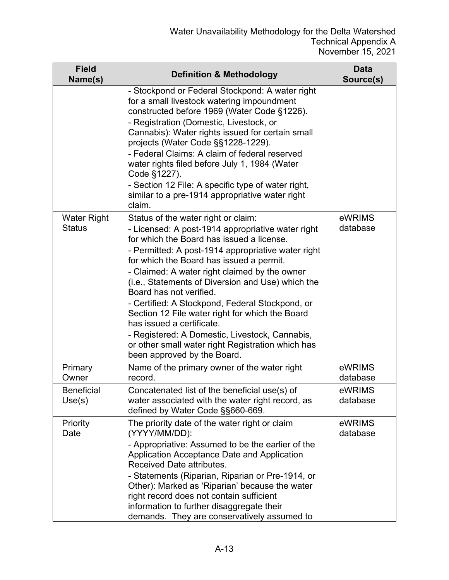| <b>Field</b><br>Name(s)             | <b>Definition &amp; Methodology</b>                                                                                                                                                                                                                                                                                                                                                                                                                                                                                                                                                                                                               | <b>Data</b><br>Source(s) |
|-------------------------------------|---------------------------------------------------------------------------------------------------------------------------------------------------------------------------------------------------------------------------------------------------------------------------------------------------------------------------------------------------------------------------------------------------------------------------------------------------------------------------------------------------------------------------------------------------------------------------------------------------------------------------------------------------|--------------------------|
|                                     | - Stockpond or Federal Stockpond: A water right<br>for a small livestock watering impoundment<br>constructed before 1969 (Water Code §1226).<br>- Registration (Domestic, Livestock, or<br>Cannabis): Water rights issued for certain small<br>projects (Water Code §§1228-1229).<br>- Federal Claims: A claim of federal reserved<br>water rights filed before July 1, 1984 (Water<br>Code §1227).<br>- Section 12 File: A specific type of water right,<br>similar to a pre-1914 appropriative water right<br>claim.                                                                                                                            |                          |
| <b>Water Right</b><br><b>Status</b> | Status of the water right or claim:<br>- Licensed: A post-1914 appropriative water right<br>for which the Board has issued a license.<br>- Permitted: A post-1914 appropriative water right<br>for which the Board has issued a permit.<br>- Claimed: A water right claimed by the owner<br>(i.e., Statements of Diversion and Use) which the<br>Board has not verified.<br>- Certified: A Stockpond, Federal Stockpond, or<br>Section 12 File water right for which the Board<br>has issued a certificate.<br>- Registered: A Domestic, Livestock, Cannabis,<br>or other small water right Registration which has<br>been approved by the Board. | eWRIMS<br>database       |
| Primary<br>Owner                    | Name of the primary owner of the water right<br>record.                                                                                                                                                                                                                                                                                                                                                                                                                                                                                                                                                                                           | eWRIMS<br>database       |
| <b>Beneficial</b><br>Use(s)         | Concatenated list of the beneficial use(s) of<br>water associated with the water right record, as<br>defined by Water Code §§660-669.                                                                                                                                                                                                                                                                                                                                                                                                                                                                                                             | eWRIMS<br>database       |
| Priority<br>Date                    | The priority date of the water right or claim<br>(YYYY/MM/DD):<br>- Appropriative: Assumed to be the earlier of the<br>Application Acceptance Date and Application<br><b>Received Date attributes.</b><br>- Statements (Riparian, Riparian or Pre-1914, or<br>Other): Marked as 'Riparian' because the water<br>right record does not contain sufficient<br>information to further disaggregate their<br>demands. They are conservatively assumed to                                                                                                                                                                                              | eWRIMS<br>database       |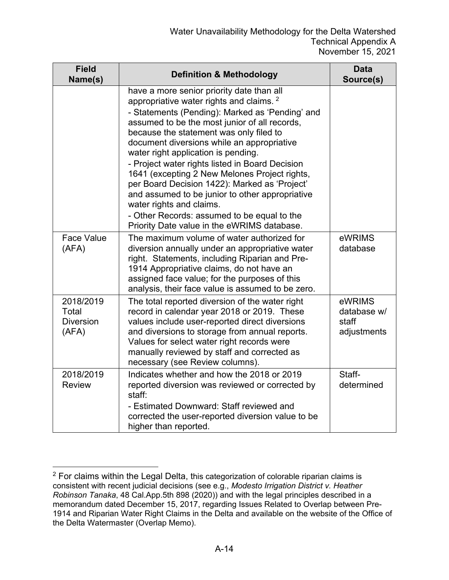| <b>Field</b><br>Name(s)                         | <b>Definition &amp; Methodology</b>                                                                                                                                                                                                                                                                                                                                                                                                                                                                                                                                                                                                                                    | Data<br>Source(s)                             |
|-------------------------------------------------|------------------------------------------------------------------------------------------------------------------------------------------------------------------------------------------------------------------------------------------------------------------------------------------------------------------------------------------------------------------------------------------------------------------------------------------------------------------------------------------------------------------------------------------------------------------------------------------------------------------------------------------------------------------------|-----------------------------------------------|
|                                                 | have a more senior priority date than all<br>appropriative water rights and claims. <sup>2</sup><br>- Statements (Pending): Marked as 'Pending' and<br>assumed to be the most junior of all records,<br>because the statement was only filed to<br>document diversions while an appropriative<br>water right application is pending.<br>- Project water rights listed in Board Decision<br>1641 (excepting 2 New Melones Project rights,<br>per Board Decision 1422): Marked as 'Project'<br>and assumed to be junior to other appropriative<br>water rights and claims.<br>- Other Records: assumed to be equal to the<br>Priority Date value in the eWRIMS database. |                                               |
| <b>Face Value</b><br>(AFA)                      | The maximum volume of water authorized for<br>diversion annually under an appropriative water<br>right. Statements, including Riparian and Pre-<br>1914 Appropriative claims, do not have an<br>assigned face value; for the purposes of this<br>analysis, their face value is assumed to be zero.                                                                                                                                                                                                                                                                                                                                                                     | eWRIMS<br>database                            |
| 2018/2019<br>Total<br><b>Diversion</b><br>(AFA) | The total reported diversion of the water right<br>record in calendar year 2018 or 2019. These<br>values include user-reported direct diversions<br>and diversions to storage from annual reports.<br>Values for select water right records were<br>manually reviewed by staff and corrected as<br>necessary (see Review columns).                                                                                                                                                                                                                                                                                                                                     | eWRIMS<br>database w/<br>staff<br>adjustments |
| 2018/2019<br><b>Review</b>                      | Indicates whether and how the 2018 or 2019<br>reported diversion was reviewed or corrected by<br>staff:<br>- Estimated Downward: Staff reviewed and<br>corrected the user-reported diversion value to be<br>higher than reported.                                                                                                                                                                                                                                                                                                                                                                                                                                      | Staff-<br>determined                          |

<span id="page-13-0"></span> $2$  For claims within the Legal Delta, this categorization of colorable riparian claims is consistent with recent judicial decisions (see e.g., *Modesto Irrigation District v. Heather Robinson Tanaka*, 48 Cal.App.5th 898 (2020)) and with the legal principles described in a memorandum dated December 15, 2017, regarding Issues Related to Overlap between Pre-1914 and Riparian Water Right Claims in the Delta and available on the website of the Office of the Delta Watermaster (Overlap Memo).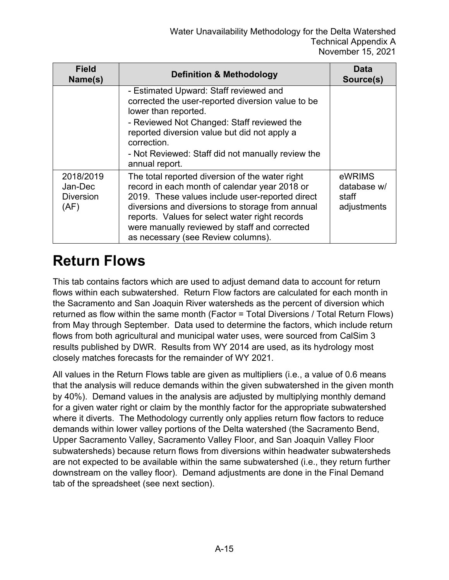| <b>Field</b><br>Name(s)                          | <b>Definition &amp; Methodology</b>                                                                                                                                                                                                                                                                                                              | Data<br>Source(s)                             |
|--------------------------------------------------|--------------------------------------------------------------------------------------------------------------------------------------------------------------------------------------------------------------------------------------------------------------------------------------------------------------------------------------------------|-----------------------------------------------|
|                                                  | - Estimated Upward: Staff reviewed and<br>corrected the user-reported diversion value to be<br>lower than reported.<br>- Reviewed Not Changed: Staff reviewed the<br>reported diversion value but did not apply a<br>correction.<br>- Not Reviewed: Staff did not manually review the<br>annual report.                                          |                                               |
| 2018/2019<br>Jan-Dec<br><b>Diversion</b><br>(AF) | The total reported diversion of the water right<br>record in each month of calendar year 2018 or<br>2019. These values include user-reported direct<br>diversions and diversions to storage from annual<br>reports. Values for select water right records<br>were manually reviewed by staff and corrected<br>as necessary (see Review columns). | eWRIMS<br>database w/<br>staff<br>adjustments |

#### **Return Flows**

This tab contains factors which are used to adjust demand data to account for return flows within each subwatershed. Return Flow factors are calculated for each month in the Sacramento and San Joaquin River watersheds as the percent of diversion which returned as flow within the same month (Factor = Total Diversions / Total Return Flows) from May through September. Data used to determine the factors, which include return flows from both agricultural and municipal water uses, were sourced from CalSim 3 results published by DWR. Results from WY 2014 are used, as its hydrology most closely matches forecasts for the remainder of WY 2021.

All values in the Return Flows table are given as multipliers (i.e., a value of 0.6 means that the analysis will reduce demands within the given subwatershed in the given month by 40%). Demand values in the analysis are adjusted by multiplying monthly demand for a given water right or claim by the monthly factor for the appropriate subwatershed where it diverts. The Methodology currently only applies return flow factors to reduce demands within lower valley portions of the Delta watershed (the Sacramento Bend, Upper Sacramento Valley, Sacramento Valley Floor, and San Joaquin Valley Floor subwatersheds) because return flows from diversions within headwater subwatersheds are not expected to be available within the same subwatershed (i.e., they return further downstream on the valley floor). Demand adjustments are done in the Final Demand tab of the spreadsheet (see next section).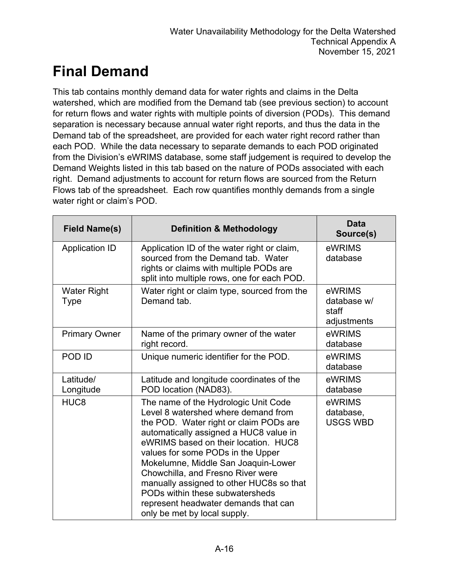## **Final Demand**

This tab contains monthly demand data for water rights and claims in the Delta watershed, which are modified from the Demand tab (see previous section) to account for return flows and water rights with multiple points of diversion (PODs). This demand separation is necessary because annual water right reports, and thus the data in the Demand tab of the spreadsheet, are provided for each water right record rather than each POD. While the data necessary to separate demands to each POD originated from the Division's eWRIMS database, some staff judgement is required to develop the Demand Weights listed in this tab based on the nature of PODs associated with each right. Demand adjustments to account for return flows are sourced from the Return Flows tab of the spreadsheet. Each row quantifies monthly demands from a single water right or claim's POD.

| <b>Field Name(s)</b>       | <b>Definition &amp; Methodology</b>                                                                                                                                                                                                                                                                                                                                                                                                                                             | <b>Data</b><br>Source(s)                      |
|----------------------------|---------------------------------------------------------------------------------------------------------------------------------------------------------------------------------------------------------------------------------------------------------------------------------------------------------------------------------------------------------------------------------------------------------------------------------------------------------------------------------|-----------------------------------------------|
| <b>Application ID</b>      | Application ID of the water right or claim,<br>sourced from the Demand tab. Water<br>rights or claims with multiple PODs are<br>split into multiple rows, one for each POD.                                                                                                                                                                                                                                                                                                     | eWRIMS<br>database                            |
| <b>Water Right</b><br>Type | Water right or claim type, sourced from the<br>Demand tab.                                                                                                                                                                                                                                                                                                                                                                                                                      | eWRIMS<br>database w/<br>staff<br>adjustments |
| <b>Primary Owner</b>       | Name of the primary owner of the water<br>right record.                                                                                                                                                                                                                                                                                                                                                                                                                         | eWRIMS<br>database                            |
| POD ID                     | Unique numeric identifier for the POD.                                                                                                                                                                                                                                                                                                                                                                                                                                          | eWRIMS<br>database                            |
| Latitude/<br>Longitude     | Latitude and longitude coordinates of the<br>POD location (NAD83).                                                                                                                                                                                                                                                                                                                                                                                                              | eWRIMS<br>database                            |
| HUC <sub>8</sub>           | The name of the Hydrologic Unit Code<br>Level 8 watershed where demand from<br>the POD. Water right or claim PODs are<br>automatically assigned a HUC8 value in<br>eWRIMS based on their location. HUC8<br>values for some PODs in the Upper<br>Mokelumne, Middle San Joaquin-Lower<br>Chowchilla, and Fresno River were<br>manually assigned to other HUC8s so that<br>PODs within these subwatersheds<br>represent headwater demands that can<br>only be met by local supply. | eWRIMS<br>database,<br><b>USGS WBD</b>        |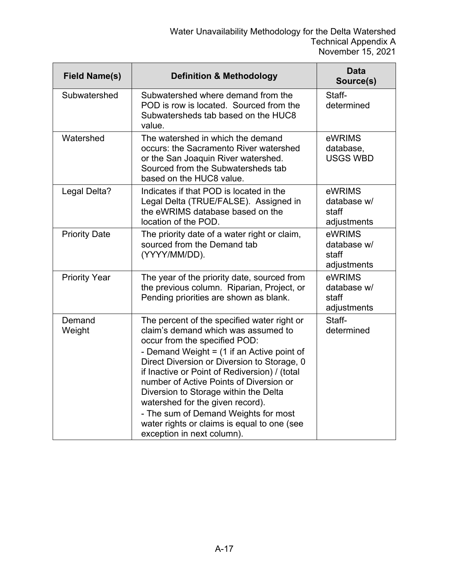| <b>Field Name(s)</b> | <b>Definition &amp; Methodology</b>                                                                                                                                                                                                                                                                                                                                                                                                                                                                              | <b>Data</b><br>Source(s)                      |
|----------------------|------------------------------------------------------------------------------------------------------------------------------------------------------------------------------------------------------------------------------------------------------------------------------------------------------------------------------------------------------------------------------------------------------------------------------------------------------------------------------------------------------------------|-----------------------------------------------|
| Subwatershed         | Subwatershed where demand from the<br>POD is row is located. Sourced from the<br>Subwatersheds tab based on the HUC8<br>value.                                                                                                                                                                                                                                                                                                                                                                                   | Staff-<br>determined                          |
| Watershed            | The watershed in which the demand<br>occurs: the Sacramento River watershed<br>or the San Joaquin River watershed.<br>Sourced from the Subwatersheds tab<br>based on the HUC8 value.                                                                                                                                                                                                                                                                                                                             | eWRIMS<br>database,<br><b>USGS WBD</b>        |
| Legal Delta?         | Indicates if that POD is located in the<br>Legal Delta (TRUE/FALSE). Assigned in<br>the eWRIMS database based on the<br>location of the POD.                                                                                                                                                                                                                                                                                                                                                                     | eWRIMS<br>database w/<br>staff<br>adjustments |
| <b>Priority Date</b> | The priority date of a water right or claim,<br>sourced from the Demand tab<br>(YYYY/MM/DD).                                                                                                                                                                                                                                                                                                                                                                                                                     | eWRIMS<br>database w/<br>staff<br>adjustments |
| <b>Priority Year</b> | The year of the priority date, sourced from<br>the previous column. Riparian, Project, or<br>Pending priorities are shown as blank.                                                                                                                                                                                                                                                                                                                                                                              | eWRIMS<br>database w/<br>staff<br>adjustments |
| Demand<br>Weight     | The percent of the specified water right or<br>claim's demand which was assumed to<br>occur from the specified POD:<br>- Demand Weight $=$ (1 if an Active point of<br>Direct Diversion or Diversion to Storage, 0<br>if Inactive or Point of Rediversion) / (total<br>number of Active Points of Diversion or<br>Diversion to Storage within the Delta<br>watershed for the given record).<br>- The sum of Demand Weights for most<br>water rights or claims is equal to one (see<br>exception in next column). | Staff-<br>determined                          |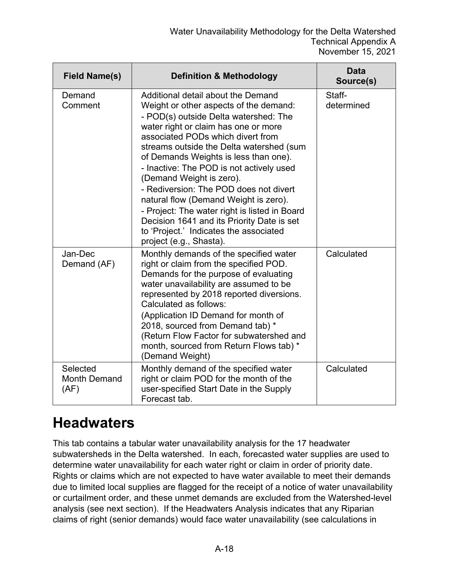| <b>Field Name(s)</b>                    | <b>Definition &amp; Methodology</b>                                                                                                                                                                                                                                                                                                                                                                                                                                                                                                                                                                                    | <b>Data</b><br>Source(s) |
|-----------------------------------------|------------------------------------------------------------------------------------------------------------------------------------------------------------------------------------------------------------------------------------------------------------------------------------------------------------------------------------------------------------------------------------------------------------------------------------------------------------------------------------------------------------------------------------------------------------------------------------------------------------------------|--------------------------|
| Demand<br>Comment                       | Additional detail about the Demand<br>Weight or other aspects of the demand:<br>- POD(s) outside Delta watershed: The<br>water right or claim has one or more<br>associated PODs which divert from<br>streams outside the Delta watershed (sum<br>of Demands Weights is less than one).<br>- Inactive: The POD is not actively used<br>(Demand Weight is zero).<br>- Rediversion: The POD does not divert<br>natural flow (Demand Weight is zero).<br>- Project: The water right is listed in Board<br>Decision 1641 and its Priority Date is set<br>to 'Project.' Indicates the associated<br>project (e.g., Shasta). | Staff-<br>determined     |
| Jan-Dec<br>Demand (AF)                  | Monthly demands of the specified water<br>right or claim from the specified POD.<br>Demands for the purpose of evaluating<br>water unavailability are assumed to be<br>represented by 2018 reported diversions.<br>Calculated as follows:<br>(Application ID Demand for month of<br>2018, sourced from Demand tab) *<br>(Return Flow Factor for subwatershed and<br>month, sourced from Return Flows tab) *<br>(Demand Weight)                                                                                                                                                                                         | Calculated               |
| Selected<br><b>Month Demand</b><br>(AF) | Monthly demand of the specified water<br>right or claim POD for the month of the<br>user-specified Start Date in the Supply<br>Forecast tab.                                                                                                                                                                                                                                                                                                                                                                                                                                                                           | Calculated               |

## **Headwaters**

This tab contains a tabular water unavailability analysis for the 17 headwater subwatersheds in the Delta watershed. In each, forecasted water supplies are used to determine water unavailability for each water right or claim in order of priority date. Rights or claims which are not expected to have water available to meet their demands due to limited local supplies are flagged for the receipt of a notice of water unavailability or curtailment order, and these unmet demands are excluded from the Watershed-level analysis (see next section). If the Headwaters Analysis indicates that any Riparian claims of right (senior demands) would face water unavailability (see calculations in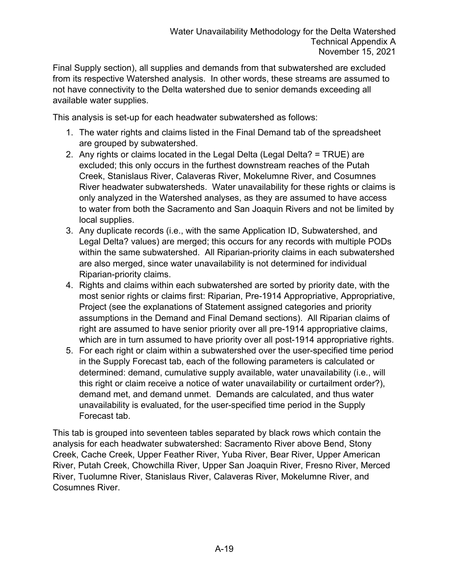Final Supply section), all supplies and demands from that subwatershed are excluded from its respective Watershed analysis. In other words, these streams are assumed to not have connectivity to the Delta watershed due to senior demands exceeding all available water supplies.

This analysis is set-up for each headwater subwatershed as follows:

- 1. The water rights and claims listed in the Final Demand tab of the spreadsheet are grouped by subwatershed.
- 2. Any rights or claims located in the Legal Delta (Legal Delta? = TRUE) are excluded; this only occurs in the furthest downstream reaches of the Putah Creek, Stanislaus River, Calaveras River, Mokelumne River, and Cosumnes River headwater subwatersheds. Water unavailability for these rights or claims is only analyzed in the Watershed analyses, as they are assumed to have access to water from both the Sacramento and San Joaquin Rivers and not be limited by local supplies.
- 3. Any duplicate records (i.e., with the same Application ID, Subwatershed, and Legal Delta? values) are merged; this occurs for any records with multiple PODs within the same subwatershed. All Riparian-priority claims in each subwatershed are also merged, since water unavailability is not determined for individual Riparian-priority claims.
- 4. Rights and claims within each subwatershed are sorted by priority date, with the most senior rights or claims first: Riparian, Pre-1914 Appropriative, Appropriative, Project (see the explanations of Statement assigned categories and priority assumptions in the Demand and Final Demand sections). All Riparian claims of right are assumed to have senior priority over all pre-1914 appropriative claims, which are in turn assumed to have priority over all post-1914 appropriative rights.
- 5. For each right or claim within a subwatershed over the user-specified time period in the Supply Forecast tab, each of the following parameters is calculated or determined: demand, cumulative supply available, water unavailability (i.e., will this right or claim receive a notice of water unavailability or curtailment order?), demand met, and demand unmet. Demands are calculated, and thus water unavailability is evaluated, for the user-specified time period in the Supply Forecast tab.

This tab is grouped into seventeen tables separated by black rows which contain the analysis for each headwater subwatershed: Sacramento River above Bend, Stony Creek, Cache Creek, Upper Feather River, Yuba River, Bear River, Upper American River, Putah Creek, Chowchilla River, Upper San Joaquin River, Fresno River, Merced River, Tuolumne River, Stanislaus River, Calaveras River, Mokelumne River, and Cosumnes River.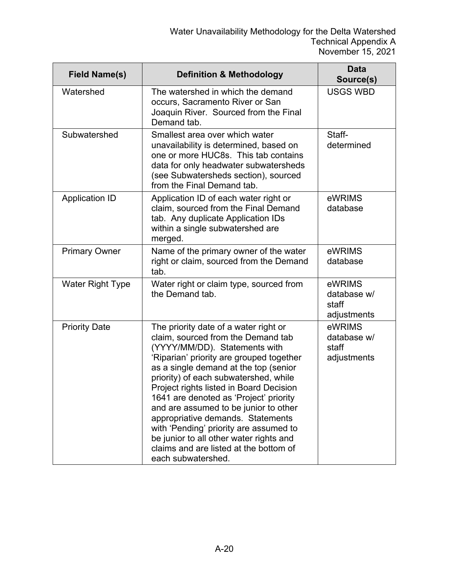| <b>Field Name(s)</b>    | <b>Definition &amp; Methodology</b>                                                                                                                                                                                                                                                                                                                                                                                                                                                                                                                                | <b>Data</b><br>Source(s)                      |
|-------------------------|--------------------------------------------------------------------------------------------------------------------------------------------------------------------------------------------------------------------------------------------------------------------------------------------------------------------------------------------------------------------------------------------------------------------------------------------------------------------------------------------------------------------------------------------------------------------|-----------------------------------------------|
| Watershed               | The watershed in which the demand<br>occurs, Sacramento River or San<br>Joaquin River. Sourced from the Final<br>Demand tab.                                                                                                                                                                                                                                                                                                                                                                                                                                       | <b>USGS WBD</b>                               |
| Subwatershed            | Smallest area over which water<br>unavailability is determined, based on<br>one or more HUC8s. This tab contains<br>data for only headwater subwatersheds<br>(see Subwatersheds section), sourced<br>from the Final Demand tab.                                                                                                                                                                                                                                                                                                                                    | Staff-<br>determined                          |
| <b>Application ID</b>   | Application ID of each water right or<br>claim, sourced from the Final Demand<br>tab. Any duplicate Application IDs<br>within a single subwatershed are<br>merged.                                                                                                                                                                                                                                                                                                                                                                                                 | eWRIMS<br>database                            |
| <b>Primary Owner</b>    | Name of the primary owner of the water<br>right or claim, sourced from the Demand<br>tab.                                                                                                                                                                                                                                                                                                                                                                                                                                                                          | eWRIMS<br>database                            |
| <b>Water Right Type</b> | Water right or claim type, sourced from<br>the Demand tab.                                                                                                                                                                                                                                                                                                                                                                                                                                                                                                         | eWRIMS<br>database w/<br>staff<br>adjustments |
| <b>Priority Date</b>    | The priority date of a water right or<br>claim, sourced from the Demand tab<br>(YYYY/MM/DD). Statements with<br>'Riparian' priority are grouped together<br>as a single demand at the top (senior<br>priority) of each subwatershed, while<br>Project rights listed in Board Decision<br>1641 are denoted as 'Project' priority<br>and are assumed to be junior to other<br>appropriative demands. Statements<br>with 'Pending' priority are assumed to<br>be junior to all other water rights and<br>claims and are listed at the bottom of<br>each subwatershed. | eWRIMS<br>database w/<br>staff<br>adjustments |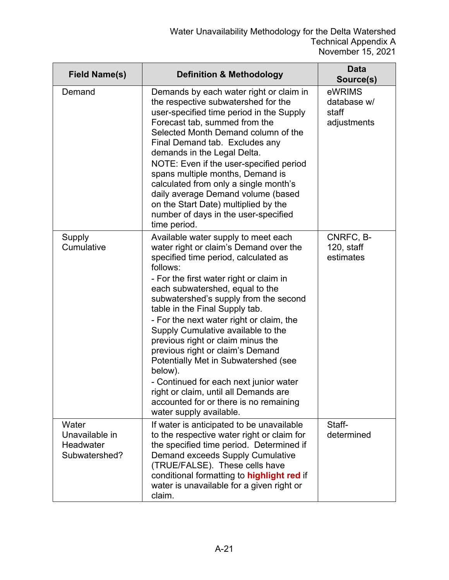| <b>Field Name(s)</b>                                  | <b>Definition &amp; Methodology</b>                                                                                                                                                                                                                                                                                                                                                                                                                                                                                                                                                                                                                              | <b>Data</b><br>Source(s)                      |
|-------------------------------------------------------|------------------------------------------------------------------------------------------------------------------------------------------------------------------------------------------------------------------------------------------------------------------------------------------------------------------------------------------------------------------------------------------------------------------------------------------------------------------------------------------------------------------------------------------------------------------------------------------------------------------------------------------------------------------|-----------------------------------------------|
| Demand                                                | Demands by each water right or claim in<br>the respective subwatershed for the<br>user-specified time period in the Supply<br>Forecast tab, summed from the<br>Selected Month Demand column of the<br>Final Demand tab. Excludes any<br>demands in the Legal Delta.<br>NOTE: Even if the user-specified period<br>spans multiple months, Demand is<br>calculated from only a single month's<br>daily average Demand volume (based<br>on the Start Date) multiplied by the<br>number of days in the user-specified<br>time period.                                                                                                                                | eWRIMS<br>database w/<br>staff<br>adjustments |
| Supply<br>Cumulative                                  | Available water supply to meet each<br>water right or claim's Demand over the<br>specified time period, calculated as<br>follows:<br>- For the first water right or claim in<br>each subwatershed, equal to the<br>subwatershed's supply from the second<br>table in the Final Supply tab.<br>- For the next water right or claim, the<br>Supply Cumulative available to the<br>previous right or claim minus the<br>previous right or claim's Demand<br>Potentially Met in Subwatershed (see<br>below).<br>- Continued for each next junior water<br>right or claim, until all Demands are<br>accounted for or there is no remaining<br>water supply available. | CNRFC, B-<br>120, staff<br>estimates          |
| Water<br>Unavailable in<br>Headwater<br>Subwatershed? | If water is anticipated to be unavailable<br>to the respective water right or claim for<br>the specified time period. Determined if<br>Demand exceeds Supply Cumulative<br>(TRUE/FALSE). These cells have<br>conditional formatting to highlight red if<br>water is unavailable for a given right or<br>claim.                                                                                                                                                                                                                                                                                                                                                   | Staff-<br>determined                          |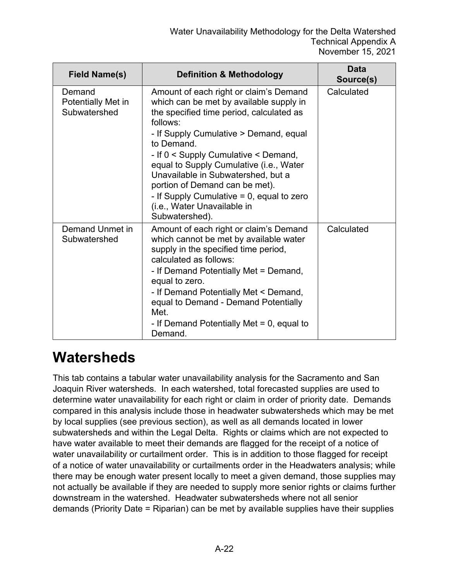| <b>Field Name(s)</b>                         | <b>Definition &amp; Methodology</b>                                                                                                                                                                                                                                                                                                                                                                                                                           | Data<br>Source(s) |
|----------------------------------------------|---------------------------------------------------------------------------------------------------------------------------------------------------------------------------------------------------------------------------------------------------------------------------------------------------------------------------------------------------------------------------------------------------------------------------------------------------------------|-------------------|
| Demand<br>Potentially Met in<br>Subwatershed | Amount of each right or claim's Demand<br>which can be met by available supply in<br>the specified time period, calculated as<br>follows:<br>- If Supply Cumulative > Demand, equal<br>to Demand.<br>- If 0 < Supply Cumulative < Demand,<br>equal to Supply Cumulative (i.e., Water<br>Unavailable in Subwatershed, but a<br>portion of Demand can be met).<br>- If Supply Cumulative $= 0$ , equal to zero<br>(i.e., Water Unavailable in<br>Subwatershed). | Calculated        |
| Demand Unmet in<br>Subwatershed              | Amount of each right or claim's Demand<br>which cannot be met by available water<br>supply in the specified time period,<br>calculated as follows:<br>- If Demand Potentially Met = Demand,<br>equal to zero.<br>- If Demand Potentially Met < Demand,<br>equal to Demand - Demand Potentially<br>Met.<br>- If Demand Potentially Met $= 0$ , equal to<br>Demand.                                                                                             | Calculated        |

#### **Watersheds**

This tab contains a tabular water unavailability analysis for the Sacramento and San Joaquin River watersheds. In each watershed, total forecasted supplies are used to determine water unavailability for each right or claim in order of priority date. Demands compared in this analysis include those in headwater subwatersheds which may be met by local supplies (see previous section), as well as all demands located in lower subwatersheds and within the Legal Delta. Rights or claims which are not expected to have water available to meet their demands are flagged for the receipt of a notice of water unavailability or curtailment order. This is in addition to those flagged for receipt of a notice of water unavailability or curtailments order in the Headwaters analysis; while there may be enough water present locally to meet a given demand, those supplies may not actually be available if they are needed to supply more senior rights or claims further downstream in the watershed. Headwater subwatersheds where not all senior demands (Priority Date = Riparian) can be met by available supplies have their supplies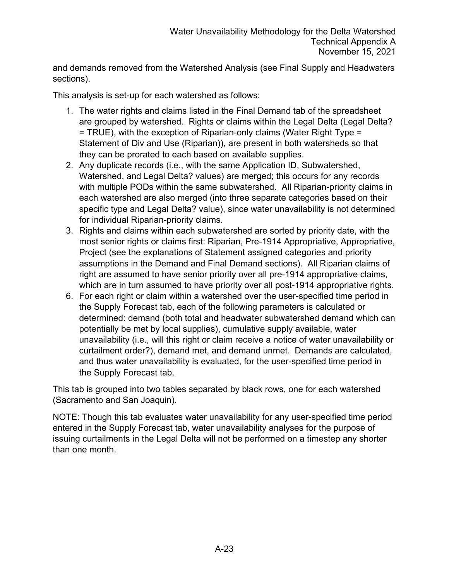and demands removed from the Watershed Analysis (see Final Supply and Headwaters sections).

This analysis is set-up for each watershed as follows:

- 1. The water rights and claims listed in the Final Demand tab of the spreadsheet are grouped by watershed. Rights or claims within the Legal Delta (Legal Delta? = TRUE), with the exception of Riparian-only claims (Water Right Type = Statement of Div and Use (Riparian)), are present in both watersheds so that they can be prorated to each based on available supplies.
- 2. Any duplicate records (i.e., with the same Application ID, Subwatershed, Watershed, and Legal Delta? values) are merged; this occurs for any records with multiple PODs within the same subwatershed. All Riparian-priority claims in each watershed are also merged (into three separate categories based on their specific type and Legal Delta? value), since water unavailability is not determined for individual Riparian-priority claims.
- 3. Rights and claims within each subwatershed are sorted by priority date, with the most senior rights or claims first: Riparian, Pre-1914 Appropriative, Appropriative, Project (see the explanations of Statement assigned categories and priority assumptions in the Demand and Final Demand sections). All Riparian claims of right are assumed to have senior priority over all pre-1914 appropriative claims, which are in turn assumed to have priority over all post-1914 appropriative rights.
- 6. For each right or claim within a watershed over the user-specified time period in the Supply Forecast tab, each of the following parameters is calculated or determined: demand (both total and headwater subwatershed demand which can potentially be met by local supplies), cumulative supply available, water unavailability (i.e., will this right or claim receive a notice of water unavailability or curtailment order?), demand met, and demand unmet. Demands are calculated, and thus water unavailability is evaluated, for the user-specified time period in the Supply Forecast tab.

This tab is grouped into two tables separated by black rows, one for each watershed (Sacramento and San Joaquin).

NOTE: Though this tab evaluates water unavailability for any user-specified time period entered in the Supply Forecast tab, water unavailability analyses for the purpose of issuing curtailments in the Legal Delta will not be performed on a timestep any shorter than one month.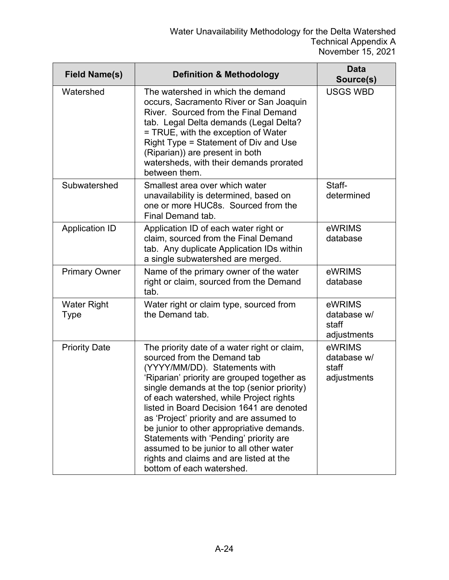| <b>Field Name(s)</b>              | <b>Definition &amp; Methodology</b>                                                                                                                                                                                                                                                                                                                                                                                                                                                                                                                      | <b>Data</b><br>Source(s)                      |
|-----------------------------------|----------------------------------------------------------------------------------------------------------------------------------------------------------------------------------------------------------------------------------------------------------------------------------------------------------------------------------------------------------------------------------------------------------------------------------------------------------------------------------------------------------------------------------------------------------|-----------------------------------------------|
| Watershed                         | The watershed in which the demand<br>occurs, Sacramento River or San Joaquin<br>River. Sourced from the Final Demand<br>tab. Legal Delta demands (Legal Delta?<br>= TRUE, with the exception of Water<br>Right Type = Statement of Div and Use<br>(Riparian)) are present in both<br>watersheds, with their demands prorated<br>between them.                                                                                                                                                                                                            | <b>USGS WBD</b>                               |
| Subwatershed                      | Smallest area over which water<br>unavailability is determined, based on<br>one or more HUC8s. Sourced from the<br>Final Demand tab.                                                                                                                                                                                                                                                                                                                                                                                                                     | Staff-<br>determined                          |
| <b>Application ID</b>             | Application ID of each water right or<br>claim, sourced from the Final Demand<br>tab. Any duplicate Application IDs within<br>a single subwatershed are merged.                                                                                                                                                                                                                                                                                                                                                                                          | eWRIMS<br>database                            |
| <b>Primary Owner</b>              | Name of the primary owner of the water<br>right or claim, sourced from the Demand<br>tab.                                                                                                                                                                                                                                                                                                                                                                                                                                                                | eWRIMS<br>database                            |
| <b>Water Right</b><br><b>Type</b> | Water right or claim type, sourced from<br>the Demand tab.                                                                                                                                                                                                                                                                                                                                                                                                                                                                                               | eWRIMS<br>database w/<br>staff<br>adjustments |
| <b>Priority Date</b>              | The priority date of a water right or claim,<br>sourced from the Demand tab<br>(YYYY/MM/DD). Statements with<br>'Riparian' priority are grouped together as<br>single demands at the top (senior priority)<br>of each watershed, while Project rights<br>listed in Board Decision 1641 are denoted<br>as 'Project' priority and are assumed to<br>be junior to other appropriative demands.<br>Statements with 'Pending' priority are<br>assumed to be junior to all other water<br>rights and claims and are listed at the<br>bottom of each watershed. | eWRIMS<br>database w/<br>staff<br>adjustments |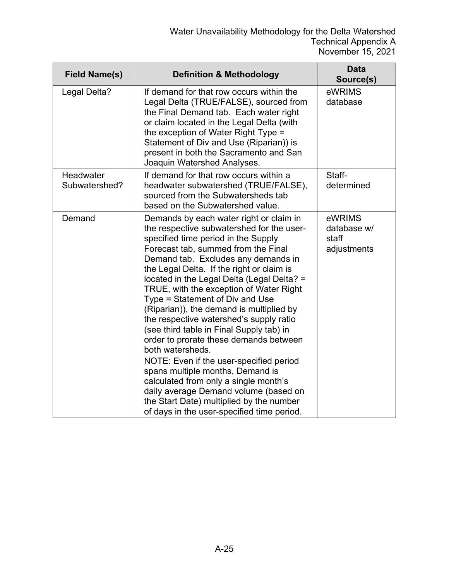| <b>Field Name(s)</b>       | <b>Definition &amp; Methodology</b>                                                                                                                                                                                                                                                                                                                                                                                                                                                                                                                                                                                                                                                                                                                                                                                                            | <b>Data</b><br>Source(s)                      |
|----------------------------|------------------------------------------------------------------------------------------------------------------------------------------------------------------------------------------------------------------------------------------------------------------------------------------------------------------------------------------------------------------------------------------------------------------------------------------------------------------------------------------------------------------------------------------------------------------------------------------------------------------------------------------------------------------------------------------------------------------------------------------------------------------------------------------------------------------------------------------------|-----------------------------------------------|
| Legal Delta?               | If demand for that row occurs within the<br>Legal Delta (TRUE/FALSE), sourced from<br>the Final Demand tab. Each water right<br>or claim located in the Legal Delta (with<br>the exception of Water Right Type =<br>Statement of Div and Use (Riparian)) is<br>present in both the Sacramento and San<br>Joaquin Watershed Analyses.                                                                                                                                                                                                                                                                                                                                                                                                                                                                                                           | eWRIMS<br>database                            |
| Headwater<br>Subwatershed? | If demand for that row occurs within a<br>headwater subwatershed (TRUE/FALSE),<br>sourced from the Subwatersheds tab<br>based on the Subwatershed value.                                                                                                                                                                                                                                                                                                                                                                                                                                                                                                                                                                                                                                                                                       | Staff-<br>determined                          |
| Demand                     | Demands by each water right or claim in<br>the respective subwatershed for the user-<br>specified time period in the Supply<br>Forecast tab, summed from the Final<br>Demand tab. Excludes any demands in<br>the Legal Delta. If the right or claim is<br>located in the Legal Delta (Legal Delta? =<br>TRUE, with the exception of Water Right<br>Type = Statement of Div and Use<br>(Riparian)), the demand is multiplied by<br>the respective watershed's supply ratio<br>(see third table in Final Supply tab) in<br>order to prorate these demands between<br>both watersheds.<br>NOTE: Even if the user-specified period<br>spans multiple months, Demand is<br>calculated from only a single month's<br>daily average Demand volume (based on<br>the Start Date) multiplied by the number<br>of days in the user-specified time period. | eWRIMS<br>database w/<br>staff<br>adjustments |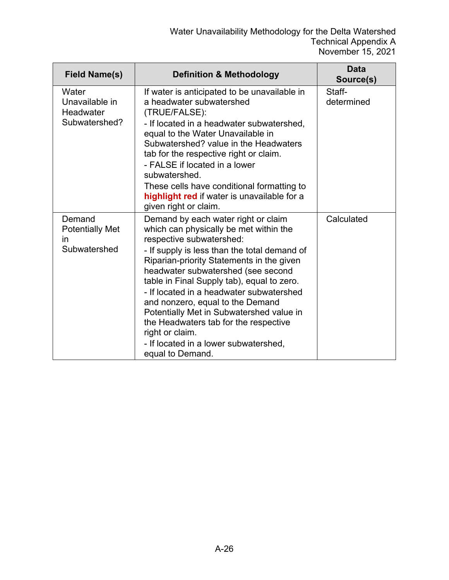| <b>Field Name(s)</b>                                   | <b>Definition &amp; Methodology</b>                                                                                                                                                                                                                                                                                                                                                                                                                                                                                                             | <b>Data</b><br>Source(s) |
|--------------------------------------------------------|-------------------------------------------------------------------------------------------------------------------------------------------------------------------------------------------------------------------------------------------------------------------------------------------------------------------------------------------------------------------------------------------------------------------------------------------------------------------------------------------------------------------------------------------------|--------------------------|
| Water<br>Unavailable in<br>Headwater<br>Subwatershed?  | If water is anticipated to be unavailable in<br>a headwater subwatershed<br>(TRUE/FALSE):<br>- If located in a headwater subwatershed,<br>equal to the Water Unavailable in<br>Subwatershed? value in the Headwaters<br>tab for the respective right or claim.<br>- FALSE if located in a lower<br>subwatershed.<br>These cells have conditional formatting to<br>highlight red if water is unavailable for a<br>given right or claim.                                                                                                          | Staff-<br>determined     |
| Demand<br><b>Potentially Met</b><br>in<br>Subwatershed | Demand by each water right or claim<br>which can physically be met within the<br>respective subwatershed:<br>- If supply is less than the total demand of<br>Riparian-priority Statements in the given<br>headwater subwatershed (see second<br>table in Final Supply tab), equal to zero.<br>- If located in a headwater subwatershed<br>and nonzero, equal to the Demand<br>Potentially Met in Subwatershed value in<br>the Headwaters tab for the respective<br>right or claim.<br>- If located in a lower subwatershed,<br>equal to Demand. | Calculated               |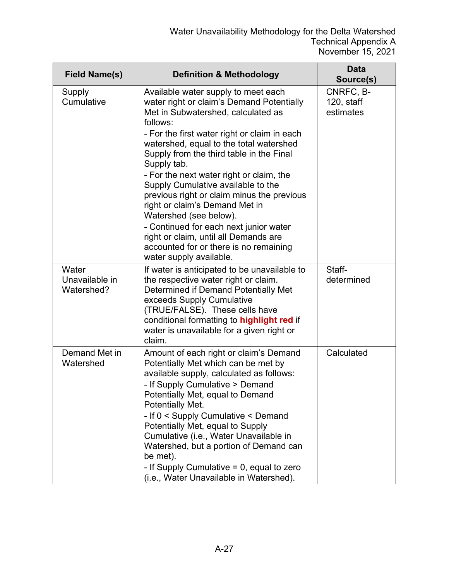| <b>Field Name(s)</b>                  | <b>Definition &amp; Methodology</b>                                                                                                                                                                                                                                                                                                                                                                                                                                                                                                                                                                                                          | <b>Data</b><br>Source(s)             |
|---------------------------------------|----------------------------------------------------------------------------------------------------------------------------------------------------------------------------------------------------------------------------------------------------------------------------------------------------------------------------------------------------------------------------------------------------------------------------------------------------------------------------------------------------------------------------------------------------------------------------------------------------------------------------------------------|--------------------------------------|
| Supply<br>Cumulative                  | Available water supply to meet each<br>water right or claim's Demand Potentially<br>Met in Subwatershed, calculated as<br>follows:<br>- For the first water right or claim in each<br>watershed, equal to the total watershed<br>Supply from the third table in the Final<br>Supply tab.<br>- For the next water right or claim, the<br>Supply Cumulative available to the<br>previous right or claim minus the previous<br>right or claim's Demand Met in<br>Watershed (see below).<br>- Continued for each next junior water<br>right or claim, until all Demands are<br>accounted for or there is no remaining<br>water supply available. | CNRFC, B-<br>120, staff<br>estimates |
| Water<br>Unavailable in<br>Watershed? | If water is anticipated to be unavailable to<br>the respective water right or claim.<br>Determined if Demand Potentially Met<br>exceeds Supply Cumulative<br>(TRUE/FALSE). These cells have<br>conditional formatting to highlight red if<br>water is unavailable for a given right or<br>claim.                                                                                                                                                                                                                                                                                                                                             | Staff-<br>determined                 |
| Demand Met in<br>Watershed            | Amount of each right or claim's Demand<br>Potentially Met which can be met by<br>available supply, calculated as follows:<br>- If Supply Cumulative > Demand<br>Potentially Met, equal to Demand<br>Potentially Met.<br>- If 0 < Supply Cumulative < Demand<br>Potentially Met, equal to Supply<br>Cumulative (i.e., Water Unavailable in<br>Watershed, but a portion of Demand can<br>be met).<br>- If Supply Cumulative $= 0$ , equal to zero<br>(i.e., Water Unavailable in Watershed).                                                                                                                                                   | Calculated                           |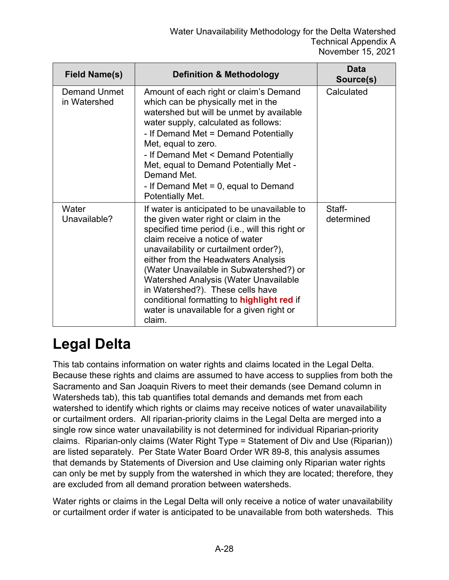| <b>Field Name(s)</b>         | <b>Definition &amp; Methodology</b>                                                                                                                                                                                                                                                                                                                                                                                                                                                              | <b>Data</b><br>Source(s) |
|------------------------------|--------------------------------------------------------------------------------------------------------------------------------------------------------------------------------------------------------------------------------------------------------------------------------------------------------------------------------------------------------------------------------------------------------------------------------------------------------------------------------------------------|--------------------------|
| Demand Unmet<br>in Watershed | Amount of each right or claim's Demand<br>which can be physically met in the<br>watershed but will be unmet by available<br>water supply, calculated as follows:<br>- If Demand Met = Demand Potentially<br>Met, equal to zero.<br>- If Demand Met < Demand Potentially<br>Met, equal to Demand Potentially Met -<br>Demand Met.<br>- If Demand Met $= 0$ , equal to Demand<br>Potentially Met.                                                                                                  | Calculated               |
| Water<br>Unavailable?        | If water is anticipated to be unavailable to<br>the given water right or claim in the<br>specified time period (i.e., will this right or<br>claim receive a notice of water<br>unavailability or curtailment order?),<br>either from the Headwaters Analysis<br>(Water Unavailable in Subwatershed?) or<br><b>Watershed Analysis (Water Unavailable</b><br>in Watershed?). These cells have<br>conditional formatting to highlight red if<br>water is unavailable for a given right or<br>claim. | Staff-<br>determined     |

## **Legal Delta**

This tab contains information on water rights and claims located in the Legal Delta. Because these rights and claims are assumed to have access to supplies from both the Sacramento and San Joaquin Rivers to meet their demands (see Demand column in Watersheds tab), this tab quantifies total demands and demands met from each watershed to identify which rights or claims may receive notices of water unavailability or curtailment orders. All riparian-priority claims in the Legal Delta are merged into a single row since water unavailability is not determined for individual Riparian-priority claims. Riparian-only claims (Water Right Type = Statement of Div and Use (Riparian)) are listed separately. Per State Water Board Order WR 89-8, this analysis assumes that demands by Statements of Diversion and Use claiming only Riparian water rights can only be met by supply from the watershed in which they are located; therefore, they are excluded from all demand proration between watersheds.

Water rights or claims in the Legal Delta will only receive a notice of water unavailability or curtailment order if water is anticipated to be unavailable from both watersheds. This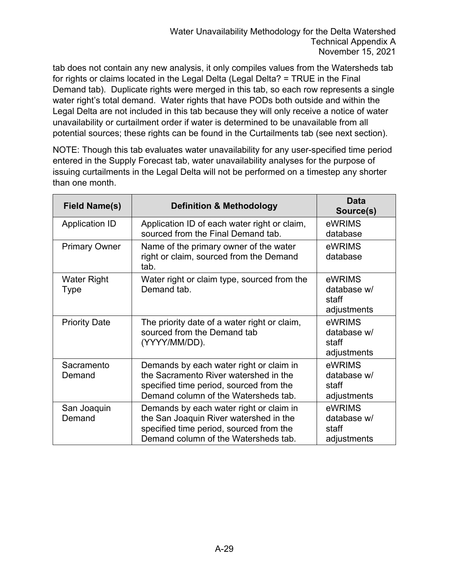tab does not contain any new analysis, it only compiles values from the Watersheds tab for rights or claims located in the Legal Delta (Legal Delta? = TRUE in the Final Demand tab). Duplicate rights were merged in this tab, so each row represents a single water right's total demand. Water rights that have PODs both outside and within the Legal Delta are not included in this tab because they will only receive a notice of water unavailability or curtailment order if water is determined to be unavailable from all potential sources; these rights can be found in the Curtailments tab (see next section).

NOTE: Though this tab evaluates water unavailability for any user-specified time period entered in the Supply Forecast tab, water unavailability analyses for the purpose of issuing curtailments in the Legal Delta will not be performed on a timestep any shorter than one month.

| <b>Field Name(s)</b>       | <b>Definition &amp; Methodology</b>                                                                                                                                  | <b>Data</b><br>Source(s)                      |
|----------------------------|----------------------------------------------------------------------------------------------------------------------------------------------------------------------|-----------------------------------------------|
| <b>Application ID</b>      | Application ID of each water right or claim,<br>sourced from the Final Demand tab.                                                                                   | eWRIMS<br>database                            |
| <b>Primary Owner</b>       | Name of the primary owner of the water<br>right or claim, sourced from the Demand<br>tab.                                                                            | eWRIMS<br>database                            |
| <b>Water Right</b><br>Type | Water right or claim type, sourced from the<br>Demand tab.                                                                                                           | eWRIMS<br>database w/<br>staff<br>adjustments |
| <b>Priority Date</b>       | The priority date of a water right or claim,<br>sourced from the Demand tab<br>(YYYY/MM/DD).                                                                         | eWRIMS<br>database w/<br>staff<br>adjustments |
| Sacramento<br>Demand       | Demands by each water right or claim in<br>the Sacramento River watershed in the<br>specified time period, sourced from the<br>Demand column of the Watersheds tab.  | eWRIMS<br>database w/<br>staff<br>adjustments |
| San Joaquin<br>Demand      | Demands by each water right or claim in<br>the San Joaquin River watershed in the<br>specified time period, sourced from the<br>Demand column of the Watersheds tab. | eWRIMS<br>database w/<br>staff<br>adjustments |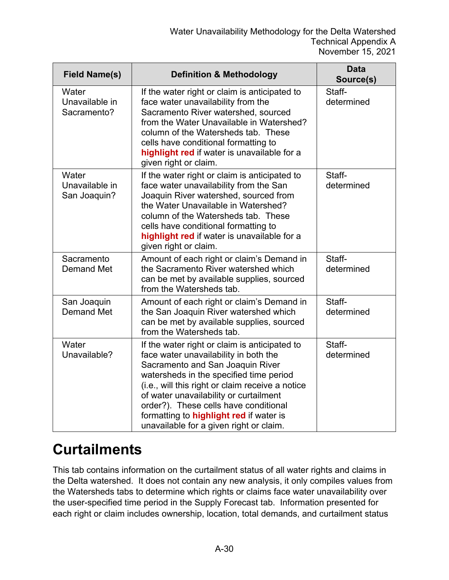| <b>Field Name(s)</b>                    | <b>Definition &amp; Methodology</b>                                                                                                                                                                                                                                                                                                                                                                       | <b>Data</b><br>Source(s) |
|-----------------------------------------|-----------------------------------------------------------------------------------------------------------------------------------------------------------------------------------------------------------------------------------------------------------------------------------------------------------------------------------------------------------------------------------------------------------|--------------------------|
| Water<br>Unavailable in<br>Sacramento?  | If the water right or claim is anticipated to<br>face water unavailability from the<br>Sacramento River watershed, sourced<br>from the Water Unavailable in Watershed?<br>column of the Watersheds tab. These<br>cells have conditional formatting to<br>highlight red if water is unavailable for a<br>given right or claim.                                                                             | Staff-<br>determined     |
| Water<br>Unavailable in<br>San Joaquin? | If the water right or claim is anticipated to<br>face water unavailability from the San<br>Joaquin River watershed, sourced from<br>the Water Unavailable in Watershed?<br>column of the Watersheds tab. These<br>cells have conditional formatting to<br>highlight red if water is unavailable for a<br>given right or claim.                                                                            | Staff-<br>determined     |
| Sacramento<br><b>Demand Met</b>         | Amount of each right or claim's Demand in<br>the Sacramento River watershed which<br>can be met by available supplies, sourced<br>from the Watersheds tab.                                                                                                                                                                                                                                                | Staff-<br>determined     |
| San Joaquin<br><b>Demand Met</b>        | Amount of each right or claim's Demand in<br>the San Joaquin River watershed which<br>can be met by available supplies, sourced<br>from the Watersheds tab.                                                                                                                                                                                                                                               | Staff-<br>determined     |
| Water<br>Unavailable?                   | If the water right or claim is anticipated to<br>face water unavailability in both the<br>Sacramento and San Joaquin River<br>watersheds in the specified time period<br>(i.e., will this right or claim receive a notice<br>of water unavailability or curtailment<br>order?). These cells have conditional<br>formatting to <b>highlight red</b> if water is<br>unavailable for a given right or claim. | Staff-<br>determined     |

## **Curtailments**

This tab contains information on the curtailment status of all water rights and claims in the Delta watershed. It does not contain any new analysis, it only compiles values from the Watersheds tabs to determine which rights or claims face water unavailability over the user-specified time period in the Supply Forecast tab. Information presented for each right or claim includes ownership, location, total demands, and curtailment status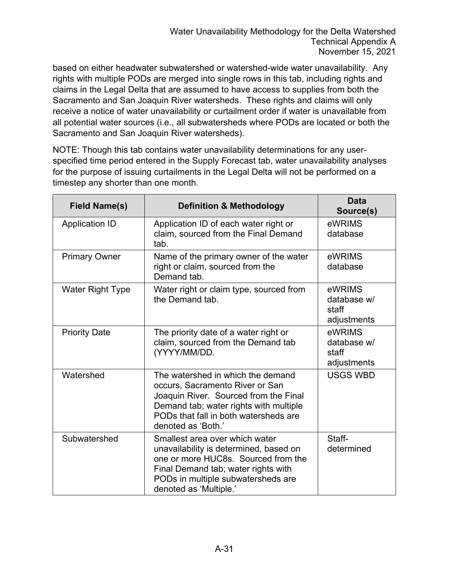based on either headwater subwatershed or watershed-wide water unavailability. Any rights with multiple PODs are merged into single rows in this tab, including rights and claims in the Legal Delta that are assumed to have access to supplies from both the Sacramento and San Joaquin River watersheds. These rights and claims will only receive a notice of water unavailability or curtailment order if water is unavailable from all potential water sources (i.e., all subwatersheds where PODs are located or both the Sacramento and San Joaquin River watersheds).

NOTE: Though this tab contains water unavailability determinations for any userspecified time period entered in the Supply Forecast tab, water unavailability analyses for the purpose of issuing curtailments in the Legal Delta will not be performed on a timestep any shorter than one month.

| <b>Field Name(s)</b>    | <b>Definition &amp; Methodology</b>                                                                                                                                                                                    | <b>Data</b><br>Source(s)                      |
|-------------------------|------------------------------------------------------------------------------------------------------------------------------------------------------------------------------------------------------------------------|-----------------------------------------------|
| <b>Application ID</b>   | Application ID of each water right or<br>claim, sourced from the Final Demand<br>tab.                                                                                                                                  | eWRIMS<br>database                            |
| <b>Primary Owner</b>    | Name of the primary owner of the water<br>right or claim, sourced from the<br>Demand tab.                                                                                                                              | eWRIMS<br>database                            |
| <b>Water Right Type</b> | Water right or claim type, sourced from<br>the Demand tab.                                                                                                                                                             | eWRIMS<br>database w/<br>staff<br>adjustments |
| <b>Priority Date</b>    | The priority date of a water right or<br>claim, sourced from the Demand tab<br>(YYYY/MM/DD.                                                                                                                            | eWRIMS<br>database w/<br>staff<br>adjustments |
| Watershed               | The watershed in which the demand<br>occurs, Sacramento River or San<br>Joaquin River. Sourced from the Final<br>Demand tab; water rights with multiple<br>PODs that fall in both watersheds are<br>denoted as 'Both.' | <b>USGS WBD</b>                               |
| Subwatershed            | Smallest area over which water<br>unavailability is determined, based on<br>one or more HUC8s. Sourced from the<br>Final Demand tab; water rights with<br>PODs in multiple subwatersheds are<br>denoted as 'Multiple.' | Staff-<br>determined                          |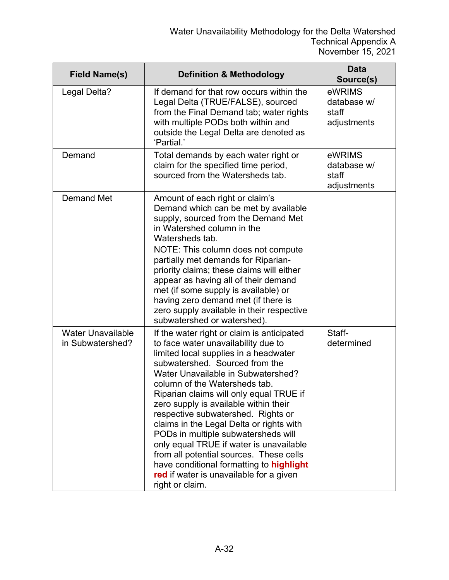| <b>Field Name(s)</b>                         | <b>Definition &amp; Methodology</b>                                                                                                                                                                                                                                                                                                                                                                                                                                                                                                                                                                                                              | <b>Data</b><br>Source(s)                      |
|----------------------------------------------|--------------------------------------------------------------------------------------------------------------------------------------------------------------------------------------------------------------------------------------------------------------------------------------------------------------------------------------------------------------------------------------------------------------------------------------------------------------------------------------------------------------------------------------------------------------------------------------------------------------------------------------------------|-----------------------------------------------|
| Legal Delta?                                 | If demand for that row occurs within the<br>Legal Delta (TRUE/FALSE), sourced<br>from the Final Demand tab; water rights<br>with multiple PODs both within and<br>outside the Legal Delta are denoted as<br>'Partial.'                                                                                                                                                                                                                                                                                                                                                                                                                           | eWRIMS<br>database w/<br>staff<br>adjustments |
| Demand                                       | Total demands by each water right or<br>claim for the specified time period,<br>sourced from the Watersheds tab.                                                                                                                                                                                                                                                                                                                                                                                                                                                                                                                                 | eWRIMS<br>database w/<br>staff<br>adjustments |
| <b>Demand Met</b>                            | Amount of each right or claim's<br>Demand which can be met by available<br>supply, sourced from the Demand Met<br>in Watershed column in the<br>Watersheds tab.<br>NOTE: This column does not compute<br>partially met demands for Riparian-<br>priority claims; these claims will either<br>appear as having all of their demand<br>met (if some supply is available) or<br>having zero demand met (if there is<br>zero supply available in their respective<br>subwatershed or watershed).                                                                                                                                                     |                                               |
| <b>Water Unavailable</b><br>in Subwatershed? | If the water right or claim is anticipated<br>to face water unavailability due to<br>limited local supplies in a headwater<br>subwatershed. Sourced from the<br>Water Unavailable in Subwatershed?<br>column of the Watersheds tab.<br>Riparian claims will only equal TRUE if<br>zero supply is available within their<br>respective subwatershed. Rights or<br>claims in the Legal Delta or rights with<br>PODs in multiple subwatersheds will<br>only equal TRUE if water is unavailable<br>from all potential sources. These cells<br>have conditional formatting to highlight<br>red if water is unavailable for a given<br>right or claim. | Staff-<br>determined                          |